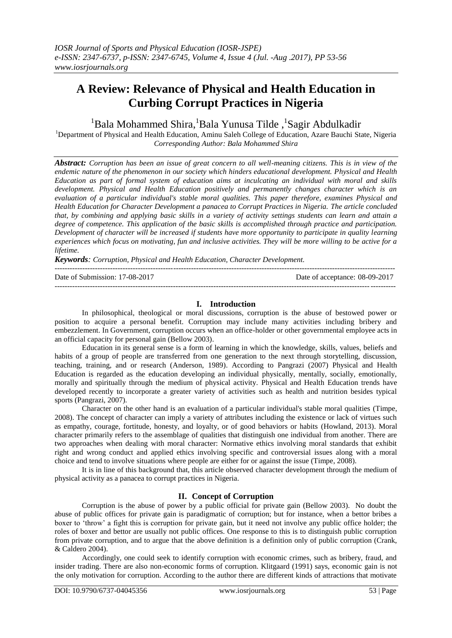# **A Review: Relevance of Physical and Health Education in Curbing Corrupt Practices in Nigeria**

## <sup>1</sup>Bala Mohammed Shira, <sup>1</sup>Bala Yunusa Tilde, <sup>1</sup>Sagir Abdulkadir

<sup>1</sup>Department of Physical and Health Education, Aminu Saleh College of Education, Azare Bauchi State, Nigeria *Corresponding Author: Bala Mohammed Shira*

*Abstract: Corruption has been an issue of great concern to all well-meaning citizens. This is in view of the endemic nature of the phenomenon in our society which hinders educational development. Physical and Health Education as part of formal system of education aims at inculcating an individual with moral and skills development. Physical and Health Education positively and permanently changes character which is an evaluation of a particular individual's stable moral qualities. This paper therefore, examines Physical and Health Education for Character Development a panacea to Corrupt Practices in Nigeria. The article concluded that, by combining and applying basic skills in a variety of activity settings students can learn and attain a degree of competence. This application of the basic skills is accomplished through practice and participation. Development of character will be increased if students have more opportunity to participate in quality learning experiences which focus on motivating, fun and inclusive activities. They will be more willing to be active for a lifetime.*

*Keywords: Corruption, Physical and Health Education, Character Development.* 

| Date of Submission: 17-08-2017 | Date of acceptance: 08-09-2017 |
|--------------------------------|--------------------------------|
|                                |                                |

## **I. Introduction**

In philosophical, theological or moral discussions, corruption is the abuse of bestowed power or position to acquire a personal benefit. Corruption may include many activities including bribery and embezzlement. In Government, corruption occurs when an office-holder or other governmental employee acts in an official capacity for personal gain (Bellow 2003).

Education in its general sense is a form of learning in which the knowledge, skills, values, beliefs and habits of a group of people are transferred from one generation to the next through storytelling, discussion, teaching, training, and or research (Anderson, 1989). According to Pangrazi (2007) Physical and Health Education is regarded as the education developing an individual physically, mentally, socially, emotionally, morally and spiritually through the medium of physical activity. Physical and Health Education trends have developed recently to incorporate a greater variety of activities such as health and nutrition besides typical sports (Pangrazi, 2007).

Character on the other hand is an evaluation of a particular individual's stable moral qualities (Timpe, 2008). The concept of character can imply a variety of attributes including the existence or lack of virtues such as empathy, courage, fortitude, honesty, and loyalty, or of good behaviors or habits (Howland, 2013). Moral character primarily refers to the assemblage of qualities that distinguish one individual from another. There are two approaches when dealing with moral character: Normative ethics involving moral standards that exhibit right and wrong conduct and applied ethics involving specific and controversial issues along with a moral choice and tend to involve situations where people are either for or against the issue (Timpe, 2008).

It is in line of this background that, this article observed character development through the medium of physical activity as a panacea to corrupt practices in Nigeria.

## **II. Concept of Corruption**

Corruption is the abuse of power by a public official for private gain (Bellow 2003). No doubt the abuse of public offices for private gain is paradigmatic of corruption; but for instance, when a bettor bribes a boxer to 'throw' a fight this is corruption for private gain, but it need not involve any public office holder; the roles of boxer and bettor are usually not public offices. One response to this is to distinguish public corruption from private corruption, and to argue that the above definition is a definition only of public corruption (Crank, & Caldero 2004).

Accordingly, one could seek to identify corruption with economic crimes, such as bribery, fraud, and insider trading. There are also non-economic forms of corruption. Klitgaard (1991) says, economic gain is not the only motivation for corruption. According to the author there are different kinds of attractions that motivate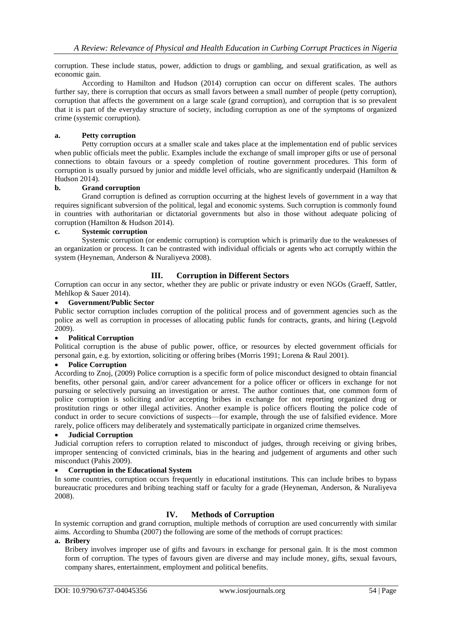corruption. These include status, power, addiction to drugs or gambling, and sexual gratification, as well as economic gain.

According to Hamilton and Hudson (2014) corruption can occur on different scales. The authors further say, there is corruption that occurs as small favors between a small number of people (petty corruption), corruption that affects the government on a large scale (grand corruption), and corruption that is so prevalent that it is part of the everyday structure of society, including corruption as one of the symptoms of organized crime (systemic corruption).

#### **a. Petty corruption**

Petty corruption occurs at a smaller scale and takes place at the implementation end of public services when public officials meet the public. Examples include the exchange of small improper gifts or use of personal connections to obtain favours or a speedy completion of routine government procedures. This form of corruption is usually pursued by junior and middle level officials, who are significantly underpaid (Hamilton & Hudson 2014).

#### **b. Grand corruption**

Grand corruption is defined as corruption occurring at the highest levels of government in a way that requires significant subversion of the political, legal and economic systems. Such corruption is commonly found in countries with authoritarian or dictatorial governments but also in those without adequate policing of corruption (Hamilton & Hudson 2014).

#### **c. Systemic corruption**

Systemic corruption (or endemic corruption) is corruption which is primarily due to the weaknesses of an organization or process. It can be contrasted with individual officials or agents who act corruptly within the system (Heyneman, Anderson & Nuraliyeva 2008).

## **III. Corruption in Different Sectors**

Corruption can occur in any sector, whether they are public or private industry or even NGOs (Graeff, Sattler, Mehlkop & Sauer 2014).

## **Government/Public Sector**

Public sector corruption includes corruption of the political process and of government agencies such as the police as well as corruption in processes of allocating public funds for contracts, grants, and hiring (Legvold 2009).

## **Political Corruption**

Political corruption is the abuse of public power, office, or resources by elected government officials for personal gain, e.g. by extortion, soliciting or offering bribes (Morris 1991; Lorena & Raul 2001).

#### **Police Corruption**

According to Znoj, (2009) Police corruption is a specific form of police misconduct designed to obtain financial benefits, other personal gain, and/or career advancement for a police officer or officers in exchange for not pursuing or selectively pursuing an investigation or arrest. The author continues that, one common form of police corruption is soliciting and/or accepting bribes in exchange for not reporting organized drug or prostitution rings or other illegal activities. Another example is police officers flouting the police code of conduct in order to secure convictions of suspects—for example, through the use of falsified evidence. More rarely, police officers may deliberately and systematically participate in organized crime themselves.

### **Judicial Corruption**

Judicial corruption refers to corruption related to misconduct of judges, through receiving or giving bribes, improper sentencing of convicted criminals, bias in the hearing and judgement of arguments and other such misconduct (Pahis 2009).

## **Corruption in the Educational System**

In some countries, corruption occurs frequently in educational institutions. This can include bribes to bypass bureaucratic procedures and bribing teaching staff or faculty for a grade (Heyneman, Anderson, & Nuraliyeva 2008).

## **IV. Methods of Corruption**

In systemic corruption and grand corruption, multiple methods of corruption are used concurrently with similar aims. According to Shumba (2007) the following are some of the methods of corrupt practices:

#### **a. Bribery**

Bribery involves improper use of gifts and favours in exchange for personal gain. It is the most common form of corruption. The types of favours given are diverse and may include money, gifts, sexual favours, company shares, entertainment, employment and political benefits.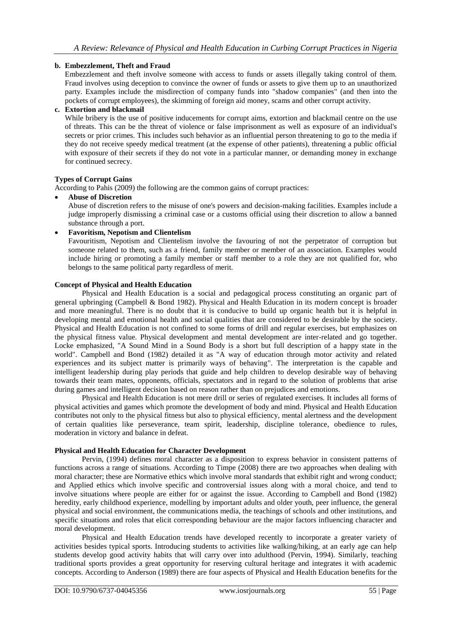## **b. Embezzlement, Theft and Fraud**

Embezzlement and theft involve someone with access to funds or assets illegally taking control of them. Fraud involves using deception to convince the owner of funds or assets to give them up to an unauthorized party. Examples include the misdirection of company funds into "shadow companies" (and then into the pockets of corrupt employees), the skimming of foreign aid money, scams and other corrupt activity.

## **c. Extortion and blackmail**

While bribery is the use of positive inducements for corrupt aims, extortion and blackmail centre on the use of threats. This can be the threat of violence or false imprisonment as well as exposure of an individual's secrets or prior crimes. This includes such behavior as an influential person threatening to go to the media if they do not receive speedy medical treatment (at the expense of other patients), threatening a public official with exposure of their secrets if they do not vote in a particular manner, or demanding money in exchange for continued secrecy.

#### **Types of Corrupt Gains**

According to Pahis (2009) the following are the common gains of corrupt practices:

**Abuse of Discretion**

Abuse of discretion refers to the misuse of one's powers and decision-making facilities. Examples include a judge improperly dismissing a criminal case or a customs official using their discretion to allow a banned substance through a port.

**Favoritism, Nepotism and Clientelism**

Favouritism, Nepotism and Clientelism involve the favouring of not the perpetrator of corruption but someone related to them, such as a friend, family member or member of an association. Examples would include hiring or promoting a family member or staff member to a role they are not qualified for, who belongs to the same political party regardless of merit.

#### **Concept of Physical and Health Education**

Physical and Health Education is a social and pedagogical process constituting an organic part of general upbringing (Campbell & Bond 1982). Physical and Health Education in its modern concept is broader and more meaningful. There is no doubt that it is conducive to build up organic health but it is helpful in developing mental and emotional health and social qualities that are considered to be desirable by the society. Physical and Health Education is not confined to some forms of drill and regular exercises, but emphasizes on the physical fitness value. Physical development and mental development are inter-related and go together. Locke emphasized, "A Sound Mind in a Sound Body is a short but full description of a happy state in the world". Campbell and Bond (1982) detailed it as "A way of education through motor activity and related experiences and its subject matter is primarily ways of behaving". The interpretation is the capable and intelligent leadership during play periods that guide and help children to develop desirable way of behaving towards their team mates, opponents, officials, spectators and in regard to the solution of problems that arise during games and intelligent decision based on reason rather than on prejudices and emotions.

Physical and Health Education is not mere drill or series of regulated exercises. It includes all forms of physical activities and games which promote the development of body and mind. Physical and Health Education contributes not only to the physical fitness but also to physical efficiency, mental alertness and the development of certain qualities like perseverance, team spirit, leadership, discipline tolerance, obedience to rules, moderation in victory and balance in defeat.

## **Physical and Health Education for Character Development**

Pervin, (1994) defines moral character as a disposition to express behavior in consistent patterns of functions across a range of situations. According to Timpe (2008) there are two approaches when dealing with moral character; these are Normative ethics which involve moral standards that exhibit right and wrong conduct; and Applied ethics which involve specific and controversial issues along with a moral choice, and tend to involve situations where people are either for or against the issue. According to Campbell and Bond (1982) heredity, early childhood experience, modelling by important adults and older youth, peer influence, the general physical and social environment, the communications media, the teachings of schools and other institutions, and specific situations and roles that elicit corresponding behaviour are the major factors influencing character and moral development.

Physical and Health Education trends have developed recently to incorporate a greater variety of activities besides typical sports. Introducing students to activities like walking/hiking, at an early age can help students develop good activity habits that will carry over into adulthood (Pervin, 1994). Similarly, teaching traditional sports provides a great opportunity for reserving cultural heritage and integrates it with academic concepts. According to Anderson (1989) there are four aspects of Physical and Health Education benefits for the